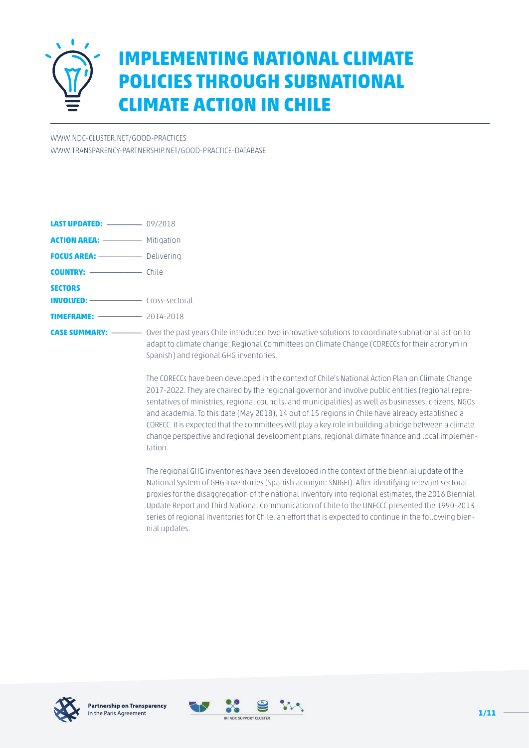

# **IMPLEMENTING NATIONAL CLIMATE POLICIES THROUGH SUBNATIONAL CLIMATE ACTION IN CHILE**

[WWW.NDC-CLUSTER.NET/GOOD-PRACTICES](http://www.ndc-cluster.net/good-practices) [WWW.TRANSPARENCY-PARTNERSHIP.NET/GOOD-PRACTICE-DATABASE](http://www.transparency-partnership.net/good-practice-database)

| <b>ACTION AREA:</b> ------------ Mitigation |
|---------------------------------------------|
| <b>FOCUS AREA:</b> Delivering               |
| <b>COUNTRY:</b> ________________ Chile      |
|                                             |
| <b>INVOLVED:</b> Cross-sectoral             |
| <b>TIMEFRAME:</b> 2014-2018                 |
| adapt to clima<br>Spanish) and              |
|                                             |

**CASE SUMMARY:** \_\_\_\_\_\_\_ Over the past years Chile introduced two innovative solutions to coordinate subnational action to ate change: Regional Committees on Climate Change (CORECCs for their acronym in regional GHG inventories.

The CORECCs have been developed in the context of Chile's National Action Plan on Climate Change 2017-2022. They are chaired by the regional governor and involve public entities (regional representatives of ministries, regional councils, and municipalities) as well as businesses, citizens, NGOs and academia. To this date (May 2018), 14 out of 15 regions in Chile have already established a CORECC. It is expected that the committees will play a key role in building a bridge between a climate change perspective and regional development plans, regional climate finance and local implementation.

The regional GHG inventories have been developed in the context of the biennial update of the National System of GHG Inventories (Spanish acronym: SNIGEI). After identifying relevant sectoral proxies for the disaggregation of the national inventory into regional estimates, the 2016 Biennial Update Report and Third National Communication of Chile to the UNFCCC presented the 1990-2013 series of regional inventories for Chile, an effort that is expected to continue in the following biennial updates.



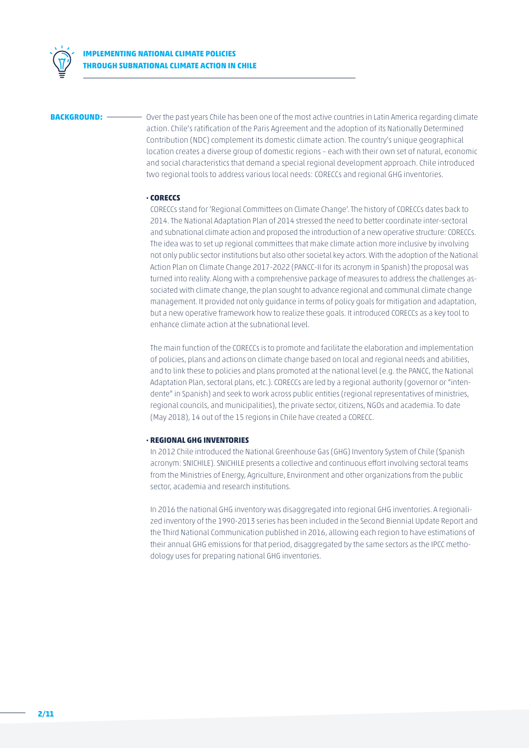

**BACKGROUND:** \_\_\_\_\_\_\_\_\_\_\_\_\_ Over the past years Chile has been one of the most active countries in Latin America regarding climate action. Chile's ratification of the Paris Agreement and the adoption of its Nationally Determined Contribution (NDC) complement its domestic climate action. The country's unique geographical location creates a diverse group of domestic regions – each with their own set of natural, economic and social characteristics that demand a special regional development approach. Chile introduced two regional tools to address various local needs: CORECCs and regional GHG inventories.

#### **· CORECCS**

CORECCs stand for 'Regional Committees on Climate Change'. The history of CORECCs dates back to 2014. The National Adaptation Plan of 2014 stressed the need to better coordinate inter-sectoral and subnational climate action and proposed the introduction of a new operative structure: CORECCs. The idea was to set up regional committees that make climate action more inclusive by involving not only public sector institutions but also other societal key actors. With the adoption of the National Action Plan on Climate Change 2017-2022 (PANCC-II for its acronym in Spanish) the proposal was turned into reality. Along with a comprehensive package of measures to address the challenges associated with climate change, the plan sought to advance regional and communal climate change management. It provided not only guidance in terms of policy goals for mitigation and adaptation, but a new operative framework how to realize these goals. It introduced CORECCs as a key tool to enhance climate action at the subnational level.

The main function of the CORECCs is to promote and facilitate the elaboration and implementation of policies, plans and actions on climate change based on local and regional needs and abilities, and to link these to policies and plans promoted at the national level (e.g. the PANCC, the National Adaptation Plan, sectoral plans, etc.). CORECCs are led by a regional authority (governor or "intendente" in Spanish) and seek to work across public entities (regional representatives of ministries, regional councils, and municipalities), the private sector, citizens, NGOs and academia. To date (May 2018), 14 out of the 15 regions in Chile have created a CORECC.

### **· REGIONAL GHG INVENTORIES**

In 2012 Chile introduced the National Greenhouse Gas (GHG) Inventory System of Chile (Spanish acronym: SNICHILE). SNICHILE presents a collective and continuous effort involving sectoral teams from the Ministries of Energy, Agriculture, Environment and other organizations from the public sector, academia and research institutions.

In 2016 the national GHG inventory was disaggregated into regional GHG inventories. A regionalized inventory of the 1990-2013 series has been included in the Second Biennial Update Report and the Third National Communication published in 2016, allowing each region to have estimations of their annual GHG emissions for that period, disaggregated by the same sectors as the IPCC methodology uses for preparing national GHG inventories.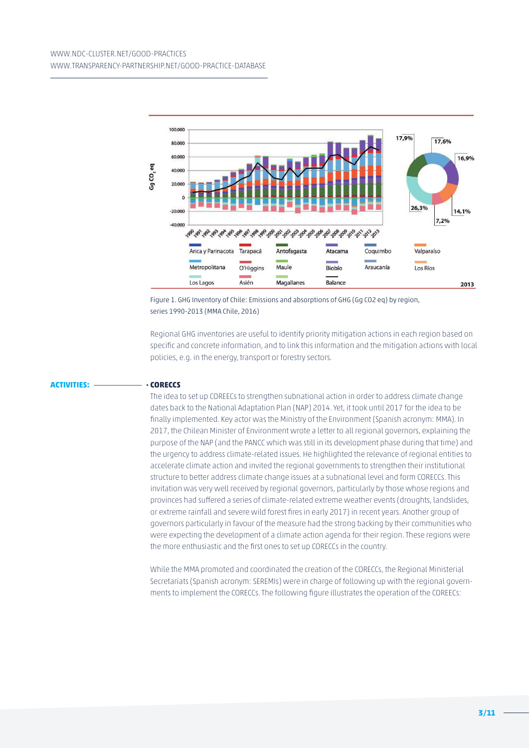

Figure 1. GHG Inventory of Chile: Emissions and absorptions of GHG (Gg CO2 eq) by region, series 1990-2013 (MMA Chile, 2016)

Regional GHG inventories are useful to identify priority mitigation actions in each region based on specific and concrete information, and to link this information and the mitigation actions with local policies, e.g. in the energy, transport or forestry sectors.

#### **ACTIVITIES:** \_\_\_\_\_\_\_\_\_\_\_ **· CORECCS**

The idea to set up COREECs to strengthen subnational action in order to address climate change dates back to the National Adaptation Plan (NAP) 2014. Yet, it took until 2017 for the idea to be finally implemented. Key actor was the Ministry of the Environment (Spanish acronym: MMA). In 2017, the Chilean Minister of Environment wrote a letter to all regional governors, explaining the purpose of the NAP (and the PANCC which was still in its development phase during that time) and the urgency to address climate-related issues. He highlighted the relevance of regional entities to accelerate climate action and invited the regional governments to strengthen their institutional structure to better address climate change issues at a subnational level and form CORECCs. This invitation was very well received by regional governors, particularly by those whose regions and provinces had suffered a series of climate-related extreme weather events (droughts, landslides, or extreme rainfall and severe wild forest fires in early 2017) in recent years. Another group of governors particularly in favour of the measure had the strong backing by their communities who were expecting the development of a climate action agenda for their region. These regions were the more enthusiastic and the first ones to set up CORECCs in the country.

While the MMA promoted and coordinated the creation of the CORECCs, the Regional Ministerial Secretariats (Spanish acronym: SEREMIs) were in charge of following up with the regional governments to implement the CORECCs. The following figure illustrates the operation of the COREECs: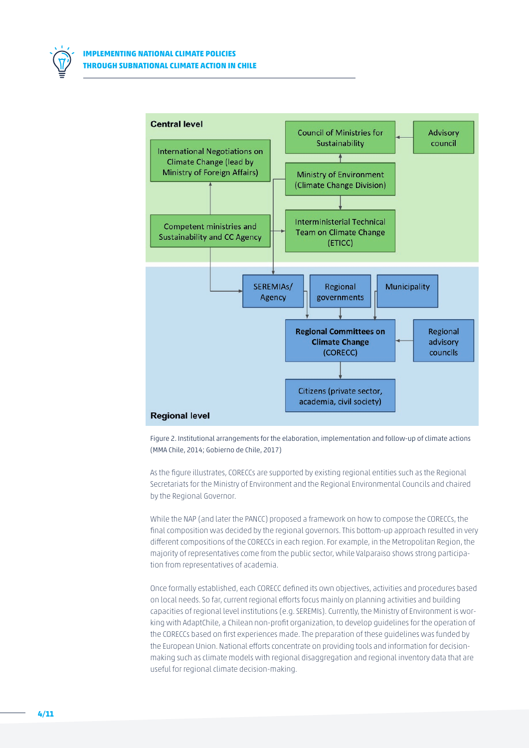



Figure 2. Institutional arrangements for the elaboration, implementation and follow-up of climate actions (MMA Chile, 2014; Gobierno de Chile, 2017)

As the figure illustrates, CORECCs are supported by existing regional entities such as the Regional Secretariats for the Ministry of Environment and the Regional Environmental Councils and chaired by the Regional Governor.

While the NAP (and later the PANCC) proposed a framework on how to compose the CORECCs, the final composition was decided by the regional governors. This bottom-up approach resulted in very different compositions of the CORECCs in each region. For example, in the Metropolitan Region, the majority of representatives come from the public sector, while Valparaiso shows strong participation from representatives of academia.

Once formally established, each CORECC defined its own objectives, activities and procedures based on local needs. So far, current regional efforts focus mainly on planning activities and building capacities of regional level institutions (e.g. SEREMIs). Currently, the Ministry of Environment is working with AdaptChile, a Chilean non-profit organization, to develop guidelines for the operation of the CORECCs based on first experiences made. The preparation of these guidelines was funded by the European Union. National efforts concentrate on providing tools and information for decisionmaking such as climate models with regional disaggregation and regional inventory data that are useful for regional climate decision-making.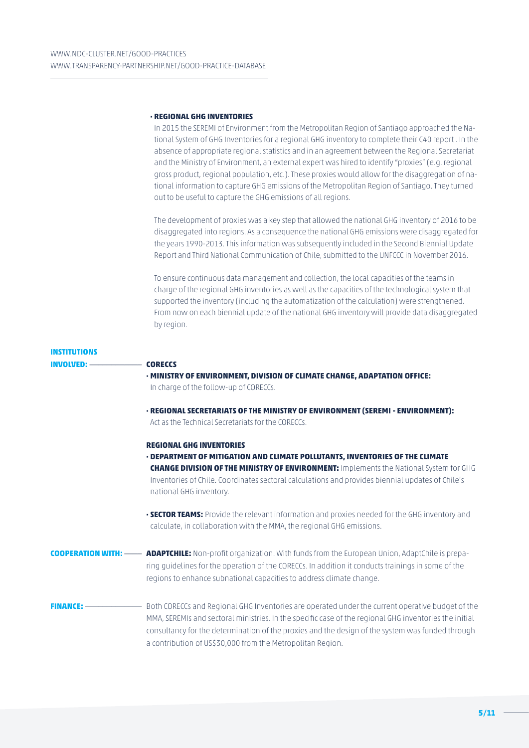#### **· REGIONAL GHG INVENTORIES**

In 2015 the SEREMI of Environment from the Metropolitan Region of Santiago approached the National System of GHG Inventories for a regional GHG inventory to complete their C40 report . In the absence of appropriate regional statistics and in an agreement between the Regional Secretariat and the Ministry of Environment, an external expert was hired to identify "proxies" (e.g. regional gross product, regional population, etc.). These proxies would allow for the disaggregation of national information to capture GHG emissions of the Metropolitan Region of Santiago. They turned out to be useful to capture the GHG emissions of all regions.

The development of proxies was a key step that allowed the national GHG inventory of 2016 to be disaggregated into regions. As a consequence the national GHG emissions were disaggregated for the years 1990-2013. This information was subsequently included in the Second Biennial Update Report and Third National Communication of Chile, submitted to the UNFCCC in November 2016.

To ensure continuous data management and collection, the local capacities of the teams in charge of the regional GHG inventories as well as the capacities of the technological system that supported the inventory (including the automatization of the calculation) were strengthened. From now on each biennial update of the national GHG inventory will provide data disaggregated by region.

# **INSTITUTIONS INVOLVED:** \_\_\_\_\_\_\_\_\_\_\_\_ **CORECCS**

- **· MINISTRY OF ENVIRONMENT, DIVISION OF CLIMATE CHANGE, ADAPTATION OFFICE:** In charge of the follow-up of CORECCs.
- **· REGIONAL SECRETARIATS OF THE MINISTRY OF ENVIRONMENT (SEREMI ENVIRONMENT):**  Act as the Technical Secretariats for the CORECCs.

#### **REGIONAL GHG INVENTORIES**

**· DEPARTMENT OF MITIGATION AND CLIMATE POLLUTANTS, INVENTORIES OF THE CLIMATE CHANGE DIVISION OF THE MINISTRY OF ENVIRONMENT:** Implements the National System for GHG Inventories of Chile. Coordinates sectoral calculations and provides biennial updates of Chile's national GHG inventory.

**· SECTOR TEAMS:** Provide the relevant information and proxies needed for the GHG inventory and calculate, in collaboration with the MMA, the regional GHG emissions.

**COOPERATION WITH:** \_\_\_\_ **ADAPTCHILE:** Non-profit organization. With funds from the European Union, AdaptChile is preparing guidelines for the operation of the CORECCs. In addition it conducts trainings in some of the regions to enhance subnational capacities to address climate change.

**FINANCE:** \_\_\_\_\_\_\_\_\_\_\_\_\_ Both CORECCs and Regional GHG Inventories are operated under the current operative budget of the MMA, SEREMIs and sectoral ministries. In the specific case of the regional GHG inventories the initial consultancy for the determination of the proxies and the design of the system was funded through a contribution of US\$30,000 from the Metropolitan Region.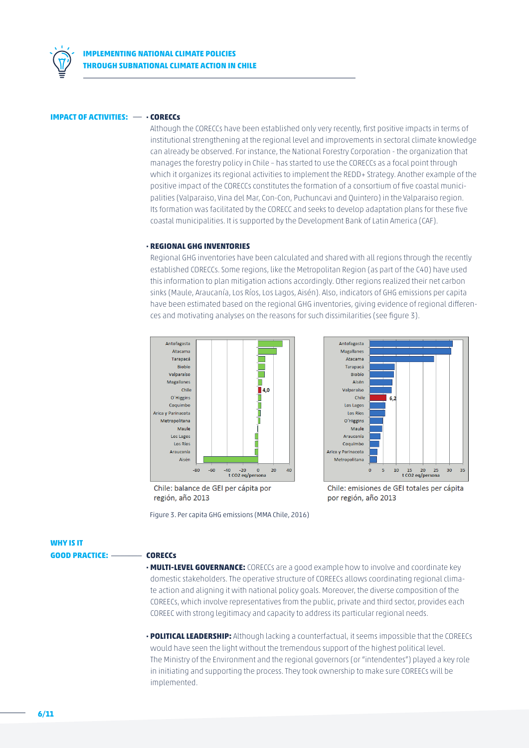

#### **IMPACT OF ACTIVITIES:** \_\_ **· CORECCs**

Although the CORECCs have been established only very recently, first positive impacts in terms of institutional strengthening at the regional level and improvements in sectoral climate knowledge can already be observed. For instance, the National Forestry Corporation - the organization that manages the forestry policy in Chile – has started to use the CORECCs as a focal point through which it organizes its regional activities to implement the REDD+ Strategy. Another example of the positive impact of the CORECCs constitutes the formation of a consortium of five coastal municipalities (Valparaiso, Vina del Mar, Con-Con, Puchuncavi and Quintero) in the Valparaiso region. Its formation was facilitated by the CORECC and seeks to develop adaptation plans for these five coastal municipalities. It is supported by the Development Bank of Latin America (CAF).

#### **· REGIONAL GHG INVENTORIES**

Regional GHG inventories have been calculated and shared with all regions through the recently established CORECCs. Some regions, like the Metropolitan Region (as part of the C40) have used this information to plan mitigation actions accordingly. Other regions realized their net carbon sinks (Maule, Araucanía, Los Ríos, Los Lagos, Aisén). Also, indicators of GHG emissions per capita have been estimated based on the regional GHG inventories, giving evidence of regional differences and motivating analyses on the reasons for such dissimilarities (see figure 3).



Chile: balance de GEI per cápita por región, año 2013

Figure 3. Per capita GHG emissions (MMA Chile, 2016)



Chile: emisiones de GEI totales per cápita por región, año 2013

**WHY IS IT GOOD PRACTICE:** \_\_\_\_\_\_\_ **CORECCs**

- **· MULTI-LEVEL GOVERNANCE:** CORECCs are a good example how to involve and coordinate key domestic stakeholders. The operative structure of COREECs allows coordinating regional climate action and aligning it with national policy goals. Moreover, the diverse composition of the COREECs, which involve representatives from the public, private and third sector, provides each COREEC with strong legitimacy and capacity to address its particular regional needs.
- **· POLITICAL LEADERSHIP:** Although lacking a counterfactual, it seems impossible that the COREECs would have seen the light without the tremendous support of the highest political level. The Ministry of the Environment and the regional governors (or "intendentes") played a key role in initiating and supporting the process. They took ownership to make sure COREECs will be implemented.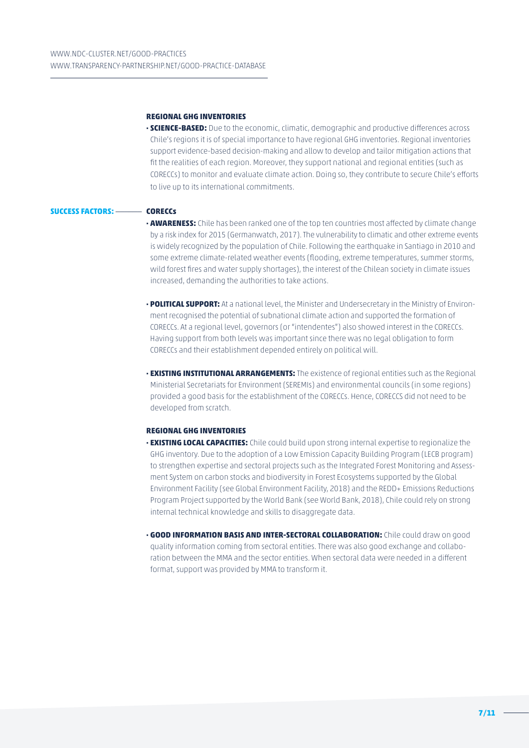#### **REGIONAL GHG INVENTORIES**

**· SCIENCE-BASED:** Due to the economic, climatic, demographic and productive differences across Chile's regions it is of special importance to have regional GHG inventories. Regional inventories support evidence-based decision-making and allow to develop and tailor mitigation actions that fit the realities of each region. Moreover, they support national and regional entities (such as CORECCs) to monitor and evaluate climate action. Doing so, they contribute to secure Chile's efforts to live up to its international commitments.

#### **SUCCESS FACTORS:** \_\_\_\_\_\_ **CORECCs**

- **· AWARENESS:** Chile has been ranked one of the top ten countries most affected by climate change by a risk index for 2015 (Germanwatch, 2017). The vulnerability to climatic and other extreme events is widely recognized by the population of Chile. Following the earthquake in Santiago in 2010 and some extreme climate-related weather events (flooding, extreme temperatures, summer storms, wild forest fires and water supply shortages), the interest of the Chilean society in climate issues increased, demanding the authorities to take actions.
- **· POLITICAL SUPPORT:** At a national level, the Minister and Undersecretary in the Ministry of Environment recognised the potential of subnational climate action and supported the formation of CORECCs. At a regional level, governors (or "intendentes") also showed interest in the CORECCs. Having support from both levels was important since there was no legal obligation to form CORECCs and their establishment depended entirely on political will.
- **· EXISTING INSTITUTIONAL ARRANGEMENTS:** The existence of regional entities such as the Regional Ministerial Secretariats for Environment (SEREMIs) and environmental councils (in some regions) provided a good basis for the establishment of the CORECCs. Hence, CORECCS did not need to be developed from scratch.

#### **REGIONAL GHG INVENTORIES**

- **· EXISTING LOCAL CAPACITIES:** Chile could build upon strong internal expertise to regionalize the GHG inventory. Due to the adoption of a Low Emission Capacity Building Program (LECB program) to strengthen expertise and sectoral projects such as the Integrated Forest Monitoring and Assessment System on carbon stocks and biodiversity in Forest Ecosystems supported by the Global Environment Facility (see Global Environment Facility, 2018) and the REDD+ Emissions Reductions Program Project supported by the World Bank (see World Bank, 2018), Chile could rely on strong internal technical knowledge and skills to disaggregate data.
- **· GOOD INFORMATION BASIS AND INTER-SECTORAL COLLABORATION:** Chile could draw on good quality information coming from sectoral entities. There was also good exchange and collaboration between the MMA and the sector entities. When sectoral data were needed in a different format, support was provided by MMA to transform it.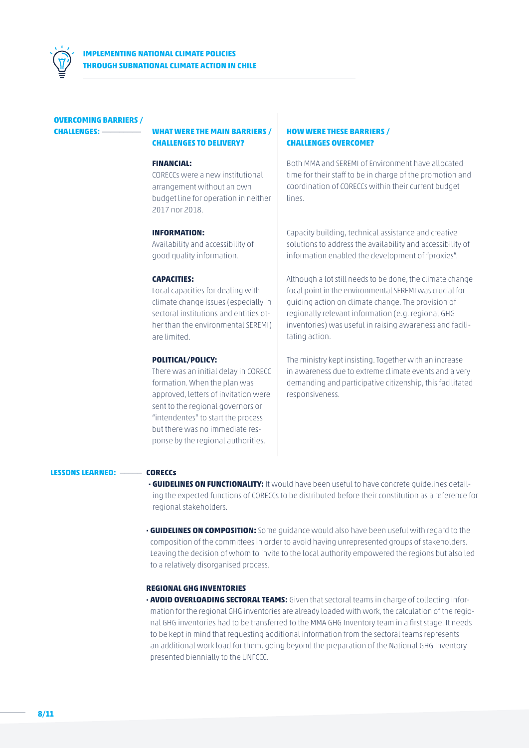

#### **OVERCOMING BARRIERS /**

### **CHALLENGES:** \_\_\_\_\_\_\_\_\_ **WHAT WERE THE MAIN BARRIERS / CHALLENGES TO DELIVERY?**

#### **FINANCIAL:**

CORECCs were a new institutional arrangement without an own budget line for operation in neither 2017 nor 2018.

#### **INFORMATION:**

Availability and accessibility of good quality information.

#### **CAPACITIES:**

Local capacities for dealing with climate change issues (especially in sectoral institutions and entities other than the environmental SEREMI) are limited.

#### **POLITICAL/POLICY:**

There was an initial delay in CORECC formation. When the plan was approved, letters of invitation were sent to the regional governors or "intendentes" to start the process but there was no immediate response by the regional authorities.

### **HOW WERE THESE BARRIERS / CHALLENGES OVERCOME?**

Both MMA and SEREMI of Environment have allocated time for their staff to be in charge of the promotion and coordination of CORECCs within their current budget lines.

Capacity building, technical assistance and creative solutions to address the availability and accessibility of information enabled the development of "proxies".

Although a lot still needs to be done, the climate change focal point in the environmental SEREMI was crucial for guiding action on climate change. The provision of regionally relevant information (e.g. regional GHG inventories) was useful in raising awareness and facilitating action.

The ministry kept insisting. Together with an increase in awareness due to extreme climate events and a very demanding and participative citizenship, this facilitated responsiveness.

#### **LESSONS LEARNED:** \_\_\_\_\_ **CORECCs**

- **· GUIDELINES ON FUNCTIONALITY:** It would have been useful to have concrete guidelines detailing the expected functions of CORECCs to be distributed before their constitution as a reference for regional stakeholders.
- **· GUIDELINES ON COMPOSITION:** Some guidance would also have been useful with regard to the composition of the committees in order to avoid having unrepresented groups of stakeholders. Leaving the decision of whom to invite to the local authority empowered the regions but also led to a relatively disorganised process.

#### **REGIONAL GHG INVENTORIES**

**· AVOID OVERLOADING SECTORAL TEAMS:** Given that sectoral teams in charge of collecting information for the regional GHG inventories are already loaded with work, the calculation of the regional GHG inventories had to be transferred to the MMA GHG Inventory team in a first stage. It needs to be kept in mind that requesting additional information from the sectoral teams represents an additional work load for them, going beyond the preparation of the National GHG Inventory presented biennially to the UNFCCC.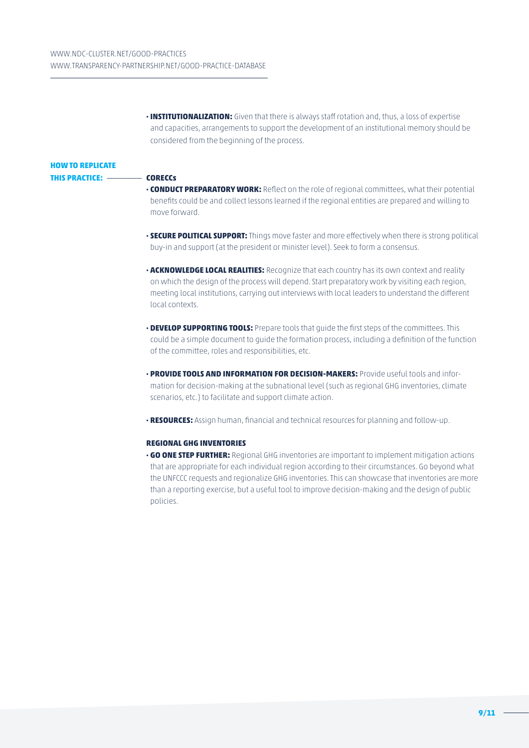**· INSTITUTIONALIZATION:** Given that there is always staff rotation and, thus, a loss of expertise and capacities, arrangements to support the development of an institutional memory should be considered from the beginning of the process.

### **HOW TO REPLICATE THIS PRACTICE:** \_\_\_\_\_\_\_\_ **CORECCs**

- **· CONDUCT PREPARATORY WORK:** Reflect on the role of regional committees, what their potential benefits could be and collect lessons learned if the regional entities are prepared and willing to move forward.
- **· SECURE POLITICAL SUPPORT:** Things move faster and more effectively when there is strong political buy-in and support (at the president or minister level). Seek to form a consensus.
- **· ACKNOWLEDGE LOCAL REALITIES:** Recognize that each country has its own context and reality on which the design of the process will depend. Start preparatory work by visiting each region, meeting local institutions, carrying out interviews with local leaders to understand the different local contexts.
- **· DEVELOP SUPPORTING TOOLS:** Prepare tools that guide the first steps of the committees. This could be a simple document to guide the formation process, including a definition of the function of the committee, roles and responsibilities, etc.
- **· PROVIDE TOOLS AND INFORMATION FOR DECISION-MAKERS:** Provide useful tools and information for decision-making at the subnational level (such as regional GHG inventories, climate scenarios, etc.) to facilitate and support climate action.
- **· RESOURCES:** Assign human, financial and technical resources for planning and follow-up.

#### **REGIONAL GHG INVENTORIES**

**· GO ONE STEP FURTHER:** Regional GHG inventories are important to implement mitigation actions that are appropriate for each individual region according to their circumstances. Go beyond what the UNFCCC requests and regionalize GHG inventories. This can showcase that inventories are more than a reporting exercise, but a useful tool to improve decision-making and the design of public policies.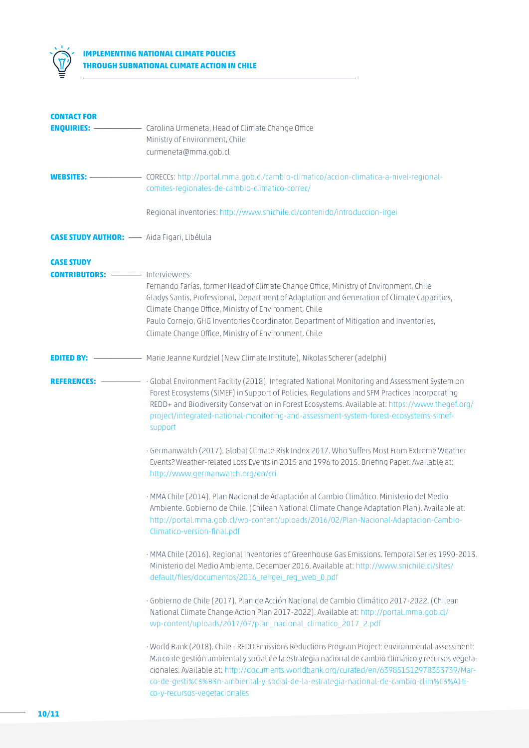

## **IMPLEMENTING NATIONAL CLIMATE POLICIES THROUGH SUBNATIONAL CLIMATE ACTION IN CHILE**

| <b>CONTACT FOR</b>                                |                                                                                                                                                                                                                                                                                                                                                                                                                                   |
|---------------------------------------------------|-----------------------------------------------------------------------------------------------------------------------------------------------------------------------------------------------------------------------------------------------------------------------------------------------------------------------------------------------------------------------------------------------------------------------------------|
|                                                   |                                                                                                                                                                                                                                                                                                                                                                                                                                   |
|                                                   | Ministry of Environment, Chile                                                                                                                                                                                                                                                                                                                                                                                                    |
|                                                   | curmeneta@mma.gob.cl                                                                                                                                                                                                                                                                                                                                                                                                              |
| $WEBSITES:$ —                                     | CORECCs: http://portal.mma.gob.cl/cambio-climatico/accion-climatica-a-nivel-regional-                                                                                                                                                                                                                                                                                                                                             |
|                                                   | comites-regionales-de-cambio-climatico-correc/                                                                                                                                                                                                                                                                                                                                                                                    |
|                                                   |                                                                                                                                                                                                                                                                                                                                                                                                                                   |
|                                                   | Regional inventories: http://www.snichile.cl/contenido/introduccion-irgei                                                                                                                                                                                                                                                                                                                                                         |
| <b>CASE STUDY AUTHOR:</b> - Aida Figari, Libélula |                                                                                                                                                                                                                                                                                                                                                                                                                                   |
| <b>CASE STUDY</b>                                 |                                                                                                                                                                                                                                                                                                                                                                                                                                   |
| <b>CONTRIBUTORS:</b> ----------- Interviewees:    |                                                                                                                                                                                                                                                                                                                                                                                                                                   |
|                                                   | Fernando Farías, former Head of Climate Change Office, Ministry of Environment, Chile<br>Gladys Santis, Professional, Department of Adaptation and Generation of Climate Capacities,<br>Climate Change Office, Ministry of Environment, Chile                                                                                                                                                                                     |
|                                                   | Paulo Cornejo, GHG Inventories Coordinator, Department of Mitigation and Inventories,<br>Climate Change Office, Ministry of Environment, Chile                                                                                                                                                                                                                                                                                    |
|                                                   | <b>EDITED BY:</b> ———————— Marie Jeanne Kurdziel (New Climate Institute), Nikolas Scherer (adelphi)                                                                                                                                                                                                                                                                                                                               |
| REFERENCES: —————                                 | · Global Environment Facility (2018). Integrated National Monitoring and Assessment System on<br>Forest Ecosystems (SIMEF) in Support of Policies, Regulations and SFM Practices Incorporating<br>REDD+ and Biodiversity Conservation in Forest Ecosystems. Available at: https://www.theqef.org/<br>project/integrated-national-monitoring-and-assessment-system-forest-ecosystems-simef-<br>support                             |
|                                                   | · Germanwatch (2017). Global Climate Risk Index 2017. Who Suffers Most From Extreme Weather<br>Events? Weather-related Loss Events in 2015 and 1996 to 2015. Briefing Paper. Available at:<br>http://www.germanwatch.org/en/cri                                                                                                                                                                                                   |
|                                                   | · MMA Chile (2014). Plan Nacional de Adaptación al Cambio Climático. Ministerio del Medio<br>Ambiente. Gobierno de Chile. (Chilean National Climate Change Adaptation Plan). Available at:<br>http://portal.mma.gob.cl/wp-content/uploads/2016/02/Plan-Nacional-Adaptacion-Cambio-<br>Climatico-version-final.pdf                                                                                                                 |
|                                                   | · MMA Chile (2016). Regional Inventories of Greenhouse Gas Emissions. Temporal Series 1990-2013.<br>Ministerio del Medio Ambiente. December 2016. Available at: http://www.snichile.cl/sites/<br>default/files/documentos/2016_reirgei_reg_web_0.pdf                                                                                                                                                                              |
|                                                   | · Gobierno de Chile (2017). Plan de Acción Nacional de Cambio Climático 2017-2022. (Chilean<br>National Climate Change Action Plan 2017-2022). Available at: http://portal.mma.gob.cl/<br>wp-content/uploads/2017/07/plan_nacional_climatico_2017_2.pdf                                                                                                                                                                           |
|                                                   | · World Bank (2018). Chile - REDD Emissions Reductions Program Project: environmental assessment:<br>Marco de gestión ambiental y social de la estrategia nacional de cambio climático y recursos vegeta-<br>cionales. Available at: http://documents.worldbank.org/curated/en/639851512978353739/Mar-<br>co-de-gesti%C3%B3n-ambiental-y-social-de-la-estrategia-nacional-de-cambio-clim%C3%A1ti-<br>co-y-recursos-vegetacionales |